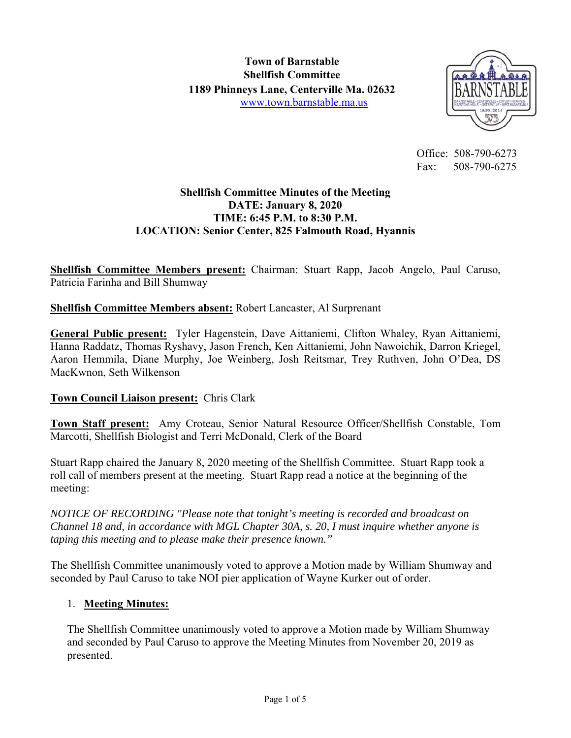

 Office: 508-790-6273 Fax: 508-790-6275

## **Shellfish Committee Minutes of the Meeting DATE: January 8, 2020 TIME: 6:45 P.M. to 8:30 P.M. LOCATION: Senior Center, 825 Falmouth Road, Hyannis**

**Shellfish Committee Members present:** Chairman: Stuart Rapp, Jacob Angelo, Paul Caruso, Patricia Farinha and Bill Shumway

# **Shellfish Committee Members absent:** Robert Lancaster, Al Surprenant

**General Public present:** Tyler Hagenstein, Dave Aittaniemi, Clifton Whaley, Ryan Aittaniemi, Hanna Raddatz, Thomas Ryshavy, Jason French, Ken Aittaniemi, John Nawoichik, Darron Kriegel, Aaron Hemmila, Diane Murphy, Joe Weinberg, Josh Reitsmar, Trey Ruthven, John O'Dea, DS MacKwnon, Seth Wilkenson

## **Town Council Liaison present:** Chris Clark

**Town Staff present:** Amy Croteau, Senior Natural Resource Officer/Shellfish Constable, Tom Marcotti, Shellfish Biologist and Terri McDonald, Clerk of the Board

Stuart Rapp chaired the January 8, 2020 meeting of the Shellfish Committee. Stuart Rapp took a roll call of members present at the meeting. Stuart Rapp read a notice at the beginning of the meeting:

*NOTICE OF RECORDING "Please note that tonight's meeting is recorded and broadcast on Channel 18 and, in accordance with MGL Chapter 30A, s. 20, I must inquire whether anyone is taping this meeting and to please make their presence known."* 

The Shellfish Committee unanimously voted to approve a Motion made by William Shumway and seconded by Paul Caruso to take NOI pier application of Wayne Kurker out of order.

## 1. **Meeting Minutes:**

The Shellfish Committee unanimously voted to approve a Motion made by William Shumway and seconded by Paul Caruso to approve the Meeting Minutes from November 20, 2019 as presented.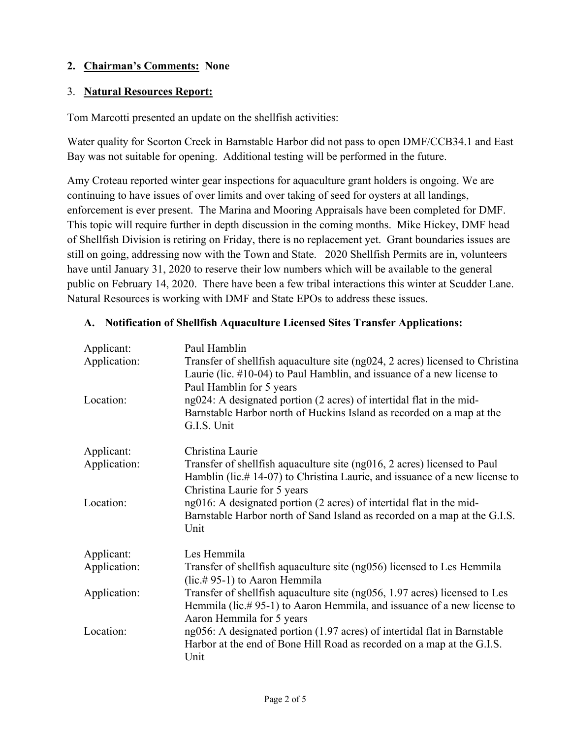# **2. Chairman's Comments: None**

### 3. **Natural Resources Report:**

Tom Marcotti presented an update on the shellfish activities:

Water quality for Scorton Creek in Barnstable Harbor did not pass to open DMF/CCB34.1 and East Bay was not suitable for opening. Additional testing will be performed in the future.

Amy Croteau reported winter gear inspections for aquaculture grant holders is ongoing. We are continuing to have issues of over limits and over taking of seed for oysters at all landings, enforcement is ever present. The Marina and Mooring Appraisals have been completed for DMF. This topic will require further in depth discussion in the coming months. Mike Hickey, DMF head of Shellfish Division is retiring on Friday, there is no replacement yet. Grant boundaries issues are still on going, addressing now with the Town and State. 2020 Shellfish Permits are in, volunteers have until January 31, 2020 to reserve their low numbers which will be available to the general public on February 14, 2020. There have been a few tribal interactions this winter at Scudder Lane. Natural Resources is working with DMF and State EPOs to address these issues.

| Applicant:<br>Application:<br>Location: | Paul Hamblin<br>Transfer of shellfish aquaculture site (ng024, 2 acres) licensed to Christina<br>Laurie (lic. $\#10-04$ ) to Paul Hamblin, and issuance of a new license to<br>Paul Hamblin for 5 years<br>ng024: A designated portion (2 acres) of intertidal flat in the mid-<br>Barnstable Harbor north of Huckins Island as recorded on a map at the<br>G.I.S. Unit |
|-----------------------------------------|-------------------------------------------------------------------------------------------------------------------------------------------------------------------------------------------------------------------------------------------------------------------------------------------------------------------------------------------------------------------------|
| Applicant:                              | Christina Laurie                                                                                                                                                                                                                                                                                                                                                        |
| Application:                            | Transfer of shellfish aquaculture site $(ng016, 2 \text{ acres})$ licensed to Paul<br>Hamblin (lic.#14-07) to Christina Laurie, and issuance of a new license to<br>Christina Laurie for 5 years                                                                                                                                                                        |
| Location:                               | ng016: A designated portion (2 acres) of intertidal flat in the mid-<br>Barnstable Harbor north of Sand Island as recorded on a map at the G.I.S.<br>Unit                                                                                                                                                                                                               |
| Applicant:                              | Les Hemmila                                                                                                                                                                                                                                                                                                                                                             |
| Application:                            | Transfer of shellfish aquaculture site (ng056) licensed to Les Hemmila<br>(lic.# 95-1) to Aaron Hemmila                                                                                                                                                                                                                                                                 |
| Application:                            | Transfer of shellfish aquaculture site (ng056, 1.97 acres) licensed to Les<br>Hemmila (lic.#95-1) to Aaron Hemmila, and issuance of a new license to<br>Aaron Hemmila for 5 years                                                                                                                                                                                       |
| Location:                               | ng056: A designated portion (1.97 acres) of intertidal flat in Barnstable<br>Harbor at the end of Bone Hill Road as recorded on a map at the G.I.S.<br>Unit                                                                                                                                                                                                             |

#### **A. Notification of Shellfish Aquaculture Licensed Sites Transfer Applications:**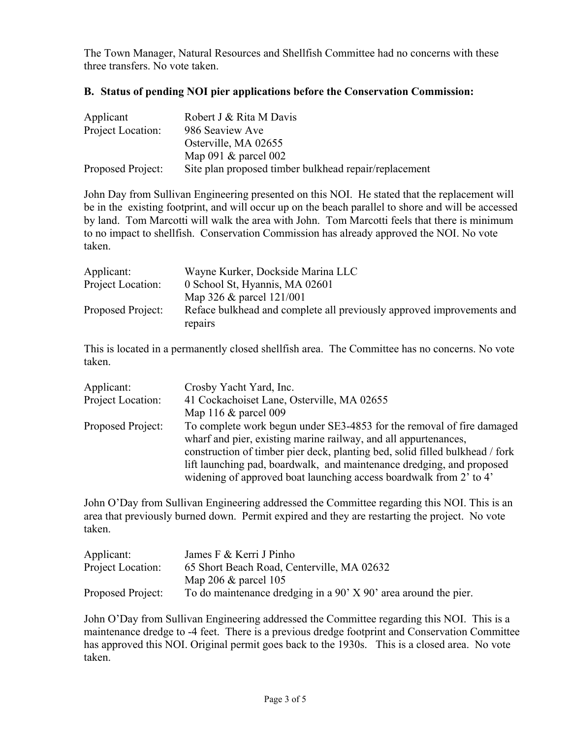The Town Manager, Natural Resources and Shellfish Committee had no concerns with these three transfers. No vote taken.

#### **B. Status of pending NOI pier applications before the Conservation Commission:**

| Applicant         | Robert J & Rita M Davis                               |
|-------------------|-------------------------------------------------------|
| Project Location: | 986 Seaview Ave                                       |
|                   | Osterville, MA 02655                                  |
|                   | Map 091 $\&$ parcel 002                               |
| Proposed Project: | Site plan proposed timber bulkhead repair/replacement |

John Day from Sullivan Engineering presented on this NOI. He stated that the replacement will be in the existing footprint, and will occur up on the beach parallel to shore and will be accessed by land. Tom Marcotti will walk the area with John. Tom Marcotti feels that there is minimum to no impact to shellfish. Conservation Commission has already approved the NOI. No vote taken.

| Wayne Kurker, Dockside Marina LLC                                                |
|----------------------------------------------------------------------------------|
| 0 School St, Hyannis, MA 02601                                                   |
| Map 326 $\&$ parcel 121/001                                                      |
| Reface bulkhead and complete all previously approved improvements and<br>repairs |
|                                                                                  |

This is located in a permanently closed shellfish area. The Committee has no concerns. No vote taken.

| Applicant:        | Crosby Yacht Yard, Inc.                                                      |
|-------------------|------------------------------------------------------------------------------|
| Project Location: | 41 Cockachoiset Lane, Osterville, MA 02655                                   |
|                   | Map 116 $\&$ parcel 009                                                      |
| Proposed Project: | To complete work begun under SE3-4853 for the removal of fire damaged        |
|                   | wharf and pier, existing marine railway, and all appurtenances,              |
|                   | construction of timber pier deck, planting bed, solid filled bulkhead / fork |
|                   | lift launching pad, boardwalk, and maintenance dredging, and proposed        |
|                   | widening of approved boat launching access boardwalk from 2' to 4'           |

John O'Day from Sullivan Engineering addressed the Committee regarding this NOI. This is an area that previously burned down. Permit expired and they are restarting the project. No vote taken.

| Applicant:        | James F & Kerri J Pinho                                             |
|-------------------|---------------------------------------------------------------------|
| Project Location: | 65 Short Beach Road, Centerville, MA 02632                          |
|                   | Map 206 $\&$ parcel 105                                             |
| Proposed Project: | To do maintenance dredging in a $90'$ X $90'$ area around the pier. |

John O'Day from Sullivan Engineering addressed the Committee regarding this NOI. This is a maintenance dredge to -4 feet. There is a previous dredge footprint and Conservation Committee has approved this NOI. Original permit goes back to the 1930s. This is a closed area. No vote taken.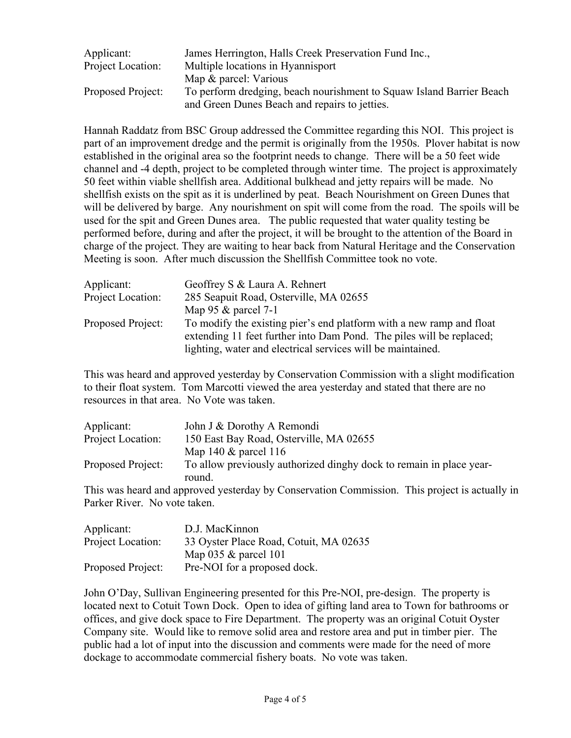| Applicant:        | James Herrington, Halls Creek Preservation Fund Inc.,                |  |
|-------------------|----------------------------------------------------------------------|--|
| Project Location: | Multiple locations in Hyannisport                                    |  |
|                   | Map & parcel: Various                                                |  |
| Proposed Project: | To perform dredging, beach nourishment to Squaw Island Barrier Beach |  |
|                   | and Green Dunes Beach and repairs to jetties.                        |  |

Hannah Raddatz from BSC Group addressed the Committee regarding this NOI. This project is part of an improvement dredge and the permit is originally from the 1950s. Plover habitat is now established in the original area so the footprint needs to change. There will be a 50 feet wide channel and -4 depth, project to be completed through winter time. The project is approximately 50 feet within viable shellfish area. Additional bulkhead and jetty repairs will be made. No shellfish exists on the spit as it is underlined by peat. Beach Nourishment on Green Dunes that will be delivered by barge. Any nourishment on spit will come from the road. The spoils will be used for the spit and Green Dunes area. The public requested that water quality testing be performed before, during and after the project, it will be brought to the attention of the Board in charge of the project. They are waiting to hear back from Natural Heritage and the Conservation Meeting is soon. After much discussion the Shellfish Committee took no vote.

| Applicant:<br>Project Location: | Geoffrey S & Laura A. Rehnert<br>285 Seapuit Road, Osterville, MA 02655                                                                                                                                     |
|---------------------------------|-------------------------------------------------------------------------------------------------------------------------------------------------------------------------------------------------------------|
|                                 | Map 95 $&$ parcel 7-1                                                                                                                                                                                       |
| Proposed Project:               | To modify the existing pier's end platform with a new ramp and float<br>extending 11 feet further into Dam Pond. The piles will be replaced;<br>lighting, water and electrical services will be maintained. |

This was heard and approved yesterday by Conservation Commission with a slight modification to their float system. Tom Marcotti viewed the area yesterday and stated that there are no resources in that area. No Vote was taken.

| Applicant:                   | John J & Dorothy A Remondi                                                                    |
|------------------------------|-----------------------------------------------------------------------------------------------|
| Project Location:            | 150 East Bay Road, Osterville, MA 02655                                                       |
|                              | Map 140 $&$ parcel 116                                                                        |
| Proposed Project:            | To allow previously authorized dinghy dock to remain in place year-                           |
|                              | round.                                                                                        |
|                              | This was heard and approved yesterday by Conservation Commission. This project is actually in |
| Parker River. No vote taken. |                                                                                               |

| Applicant:        | D.J. MacKinnon                         |
|-------------------|----------------------------------------|
| Project Location: | 33 Oyster Place Road, Cotuit, MA 02635 |
|                   | Map $035 \&$ parcel 101                |
| Proposed Project: | Pre-NOI for a proposed dock.           |

John O'Day, Sullivan Engineering presented for this Pre-NOI, pre-design. The property is located next to Cotuit Town Dock. Open to idea of gifting land area to Town for bathrooms or offices, and give dock space to Fire Department. The property was an original Cotuit Oyster Company site. Would like to remove solid area and restore area and put in timber pier. The public had a lot of input into the discussion and comments were made for the need of more dockage to accommodate commercial fishery boats. No vote was taken.